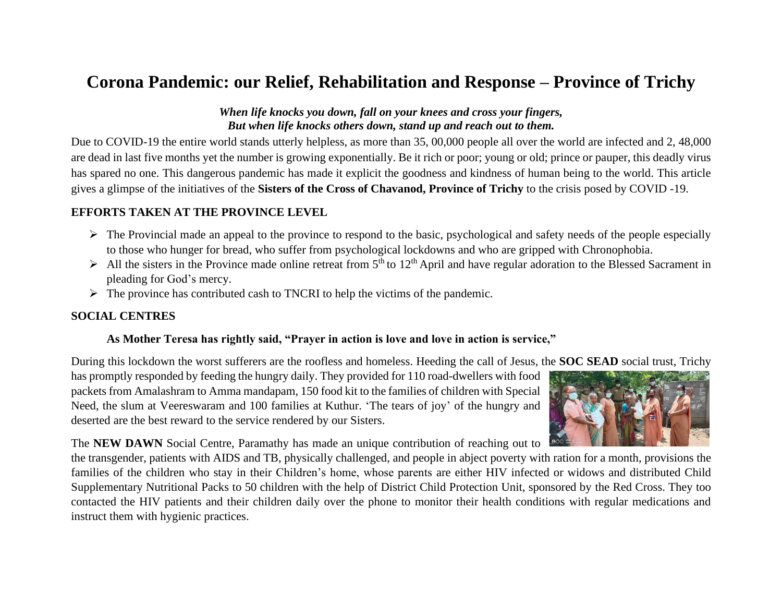# **Corona Pandemic: our Relief, Rehabilitation and Response – Province of Trichy**

#### *When life knocks you down, fall on your knees and cross your fingers, But when life knocks others down, stand up and reach out to them.*

Due to COVID-19 the entire world stands utterly helpless, as more than 35, 00,000 people all over the world are infected and 2, 48,000 are dead in last five months yet the number is growing exponentially. Be it rich or poor; young or old; prince or pauper, this deadly virus has spared no one. This dangerous pandemic has made it explicit the goodness and kindness of human being to the world. This article gives a glimpse of the initiatives of the **Sisters of the Cross of Chavanod, Province of Trichy** to the crisis posed by COVID -19.

### **EFFORTS TAKEN AT THE PROVINCE LEVEL**

- $\triangleright$  The Provincial made an appeal to the province to respond to the basic, psychological and safety needs of the people especially to those who hunger for bread, who suffer from psychological lockdowns and who are gripped with Chronophobia.
- $\triangleright$  All the sisters in the Province made online retreat from 5<sup>th</sup> to 12<sup>th</sup> April and have regular adoration to the Blessed Sacrament in pleading for God's mercy.
- $\triangleright$  The province has contributed cash to TNCRI to help the victims of the pandemic.

#### **SOCIAL CENTRES**

#### **As Mother Teresa has rightly said, "Prayer in action is love and love in action is service,"**

During this lockdown the worst sufferers are the roofless and homeless. Heeding the call of Jesus, the **SOC SEAD** social trust, Trichy

has promptly responded by feeding the hungry daily. They provided for 110 road-dwellers with food packets from Amalashram to Amma mandapam, 150 food kit to the families of children with Special Need, the slum at Veereswaram and 100 families at Kuthur. 'The tears of joy' of the hungry and deserted are the best reward to the service rendered by our Sisters.



The **NEW DAWN** Social Centre, Paramathy has made an unique contribution of reaching out to

the transgender, patients with AIDS and TB, physically challenged, and people in abject poverty with ration for a month, provisions the families of the children who stay in their Children's home, whose parents are either HIV infected or widows and distributed Child Supplementary Nutritional Packs to 50 children with the help of District Child Protection Unit, sponsored by the Red Cross. They too contacted the HIV patients and their children daily over the phone to monitor their health conditions with regular medications and instruct them with hygienic practices.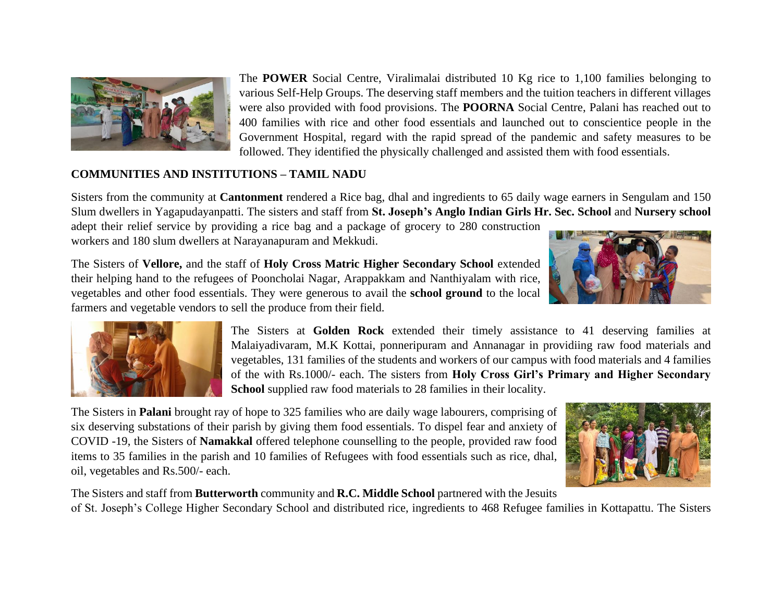

The **POWER** Social Centre, Viralimalai distributed 10 Kg rice to 1,100 families belonging to various Self-Help Groups. The deserving staff members and the tuition teachers in different villages were also provided with food provisions. The **POORNA** Social Centre, Palani has reached out to 400 families with rice and other food essentials and launched out to conscientice people in the Government Hospital, regard with the rapid spread of the pandemic and safety measures to be followed. They identified the physically challenged and assisted them with food essentials.

## **COMMUNITIES AND INSTITUTIONS – TAMIL NADU**

Sisters from the community at **Cantonment** rendered a Rice bag, dhal and ingredients to 65 daily wage earners in Sengulam and 150 Slum dwellers in Yagapudayanpatti. The sisters and staff from **St. Joseph's Anglo Indian Girls Hr. Sec. School** and **Nursery school**

adept their relief service by providing a rice bag and a package of grocery to 280 construction workers and 180 slum dwellers at Narayanapuram and Mekkudi.



The Sisters of **Vellore,** and the staff of **Holy Cross Matric Higher Secondary School** extended their helping hand to the refugees of Pooncholai Nagar, Arappakkam and Nanthiyalam with rice, vegetables and other food essentials. They were generous to avail the **school ground** to the local farmers and vegetable vendors to sell the produce from their field.



The Sisters at **Golden Rock** extended their timely assistance to 41 deserving families at Malaiyadivaram, M.K Kottai, ponneripuram and Annanagar in providiing raw food materials and vegetables, 131 families of the students and workers of our campus with food materials and 4 families of the with Rs.1000/- each. The sisters from **Holy Cross Girl's Primary and Higher Secondary School** supplied raw food materials to 28 families in their locality.

The Sisters in **Palani** brought ray of hope to 325 families who are daily wage labourers, comprising of six deserving substations of their parish by giving them food essentials. To dispel fear and anxiety of COVID -19, the Sisters of **Namakkal** offered telephone counselling to the people, provided raw food items to 35 families in the parish and 10 families of Refugees with food essentials such as rice, dhal, oil, vegetables and Rs.500/- each.



The Sisters and staff from **Butterworth** community and **R.C. Middle School** partnered with the Jesuits of St. Joseph's College Higher Secondary School and distributed rice, ingredients to 468 Refugee families in Kottapattu. The Sisters